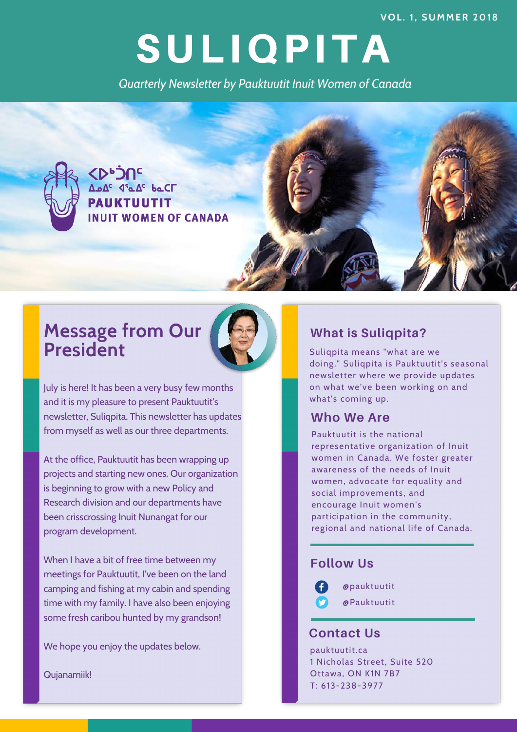**V O L . 1 , S U M M E R 2 0 1 8**

# SULIQPITA

*Quarterly Newsletter by Pauktuutit Inuit Women of Canada*



# **Message from Our President**



July is here! It has been a very busy few months and it is my pleasure to present Pauktuutit's newsletter, Suliqpita. This newsletter has updates from myself as well as our three departments.

At the office, Pauktuutit has been wrapping up projects and starting new ones. Our organization is beginning to grow with a new Policy and Research division and our departments have been crisscrossing Inuit Nunangat for our program development.

When I have a bit of free time between my meetings for Pauktuutit, I've been on the land camping and fishing at my cabin and spending time with my family. I have also been enjoying some fresh caribou hunted by my grandson!

We hope you enjoy the updates below.

Qujanamiik!

#### **What is Suliqpita?**

Suliqpita means "what are we doing." Suliqpita is Pauktuutit's seasonal newsletter where we provide updates on what we've been working on and what's coming up.

#### **Who We Are**

Pauktuutit is the national representative organization of Inuit women in Canada. We foster greater awareness of the needs of Inuit women, advocate for equality and social improvements, and encourage Inuit women's participation in the community, regional and national life of Canada.

#### **Follow Us**

 @pauktuutit @Pauktuutit

#### **Contact Us**

pauktuutit.ca 1 Nicholas Street, Suite 520 Ottawa, ON K1N 7B7 T: 613-238-3977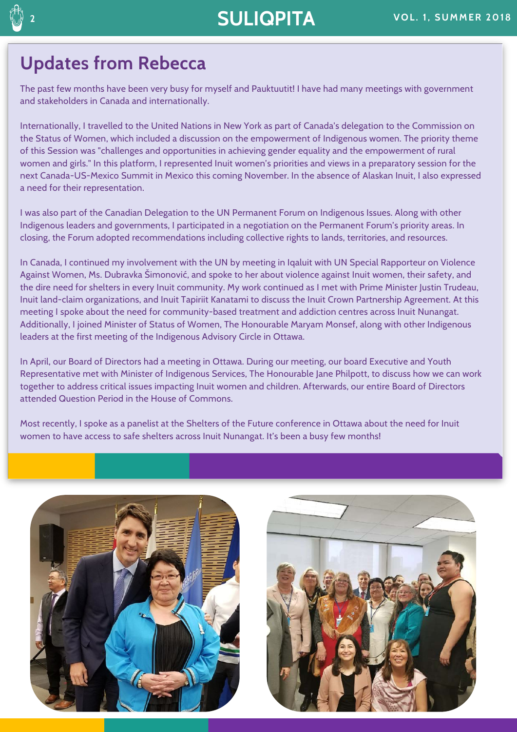# **20 ILIQPITA** VOL. 1, SUMMER 2018

## **Updates from Rebecca**

The past few months have been very busy for myself and Pauktuutit! I have had many meetings with government and stakeholders in Canada and internationally.

Internationally, I travelled to the United Nations in New York as part of Canada's delegation to the Commission on the Status of Women, which included a discussion on the empowerment of Indigenous women. The priority theme of this Session was "challenges and opportunities in achieving gender equality and the empowerment of rural women and girls." In this platform, I represented Inuit women's priorities and views in a preparatory session for the next Canada-US-Mexico Summit in Mexico this coming November. In the absence of Alaskan Inuit, I also expressed a need for their representation.

I was also part of the Canadian Delegation to the UN Permanent Forum on Indigenous Issues. Along with other Indigenous leaders and governments, I participated in a negotiation on the Permanent Forum's priority areas. In closing, the Forum adopted recommendations including collective rights to lands, territories, and resources.

In Canada, I continued my involvement with the UN by meeting in Iqaluit with UN Special Rapporteur on Violence Against Women, Ms. Dubravka Šimonović, and spoke to her about violence against Inuit women, their safety, and the dire need for shelters in every Inuit community. My work continued as I met with Prime Minister Justin Trudeau, Inuit land-claim organizations, and Inuit Tapiriit Kanatami to discuss the Inuit Crown Partnership Agreement. At this meeting I spoke about the need for community-based treatment and addiction centres across Inuit Nunangat. Additionally, I joined Minister of Status of Women, The Honourable Maryam Monsef, along with other Indigenous leaders at the first meeting of the Indigenous Advisory Circle in Ottawa.

In April, our Board of Directors had a meeting in Ottawa. During our meeting, our board Executive and Youth Representative met with Minister of Indigenous Services, The Honourable Jane Philpott, to discuss how we can work together to address critical issues impacting Inuit women and children. Afterwards, our entire Board of Directors attended Question Period in the House of Commons.

Most recently, I spoke as a panelist at the Shelters of the Future conference in Ottawa about the need for Inuit women to have access to safe shelters across Inuit Nunangat. It's been a busy few months!





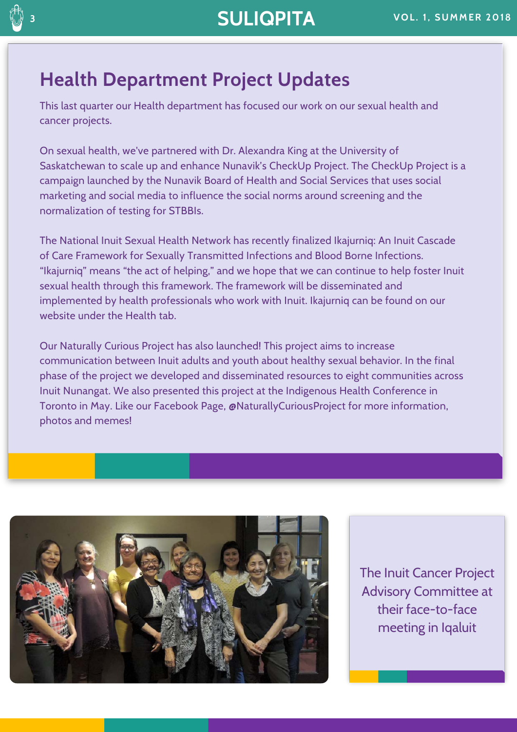# **Health Department Project Updates**

This last quarter our Health department has focused our work on our sexual health and cancer projects.

On sexual health, we've partnered with Dr. Alexandra King at the University of Saskatchewan to scale up and enhance Nunavik's CheckUp Project. The CheckUp Project is a campaign launched by the Nunavik Board of Health and Social Services that uses social marketing and social media to influence the social norms around screening and the normalization of testing for STBBIs.

The National Inuit Sexual Health Network has recently finalized Ikajurniq: An Inuit Cascade of Care Framework for Sexually Transmitted Infections and Blood Borne Infections. "Ikajurniq" means "the act of helping," and we hope that we can continue to help foster Inuit sexual health through this framework. The framework will be disseminated and implemented by health professionals who work with Inuit. Ikajurniq can be found on our website under the Health tab.

Our Naturally Curious Project has also launched! This project aims to increase communication between Inuit adults and youth about healthy sexual behavior. In the final phase of the project we developed and disseminated resources to eight communities across Inuit Nunangat. We also presented this project at the Indigenous Health Conference in Toronto in May. Like our Facebook Page, @NaturallyCuriousProject for more information, photos and memes!



The Inuit Cancer Project Advisory Committee at their face-to-face meeting in Iqaluit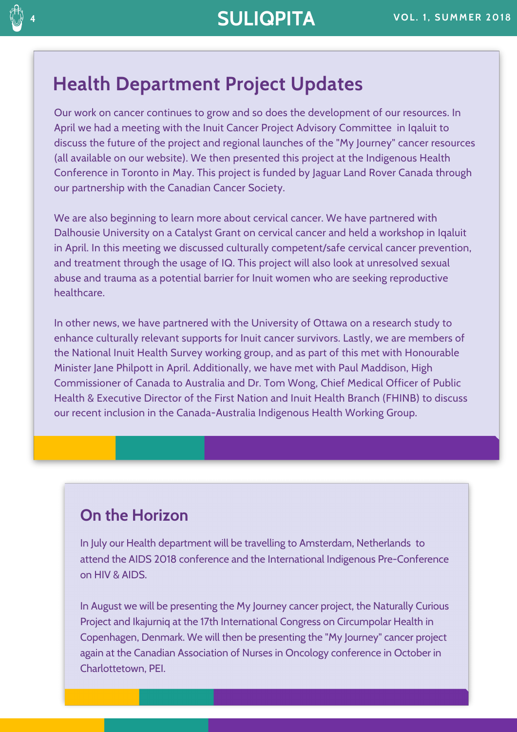#### **Health Department Project Updates**

Our work on cancer continues to grow and so does the development of our resources. In April we had a meeting with the Inuit Cancer Project Advisory Committee in Iqaluit to discuss the future of the project and regional launches of the "My Journey" cancer resources (all available on our website). We then presented this project at the Indigenous Health Conference in Toronto in May. This project is funded by Jaguar Land Rover Canada through our partnership with the Canadian Cancer Society.

We are also beginning to learn more about cervical cancer. We have partnered with Dalhousie University on a Catalyst Grant on cervical cancer and held a workshop in Iqaluit in April. In this meeting we discussed culturally competent/safe cervical cancer prevention, and treatment through the usage of IQ. This project will also look at unresolved sexual abuse and trauma as a potential barrier for Inuit women who are seeking reproductive healthcare.

In other news, we have partnered with the University of Ottawa on a research study to enhance culturally relevant supports for Inuit cancer survivors. Lastly, we are members of the National Inuit Health Survey working group, and as part of this met with Honourable Minister Jane Philpott in April. Additionally, we have met with Paul Maddison, High Commissioner of Canada to Australia and Dr. Tom Wong, Chief Medical Officer of Public Health & Executive Director of the First Nation and Inuit Health Branch (FHINB) to discuss our recent inclusion in the Canada-Australia Indigenous Health Working Group.

#### **On the Horizon**

In July our Health department will be travelling to Amsterdam, Netherlands to attend the AIDS 2018 conference and the International Indigenous Pre-Conference on HIV & AIDS.

In August we will be presenting the My Journey cancer project, the Naturally Curious Project and Ikajurniq at the 17th International Congress on Circumpolar Health in Copenhagen, Denmark. We will then be presenting the "My Journey" cancer project again at the Canadian Association of Nurses in Oncology conference in October in Charlottetown, PEI.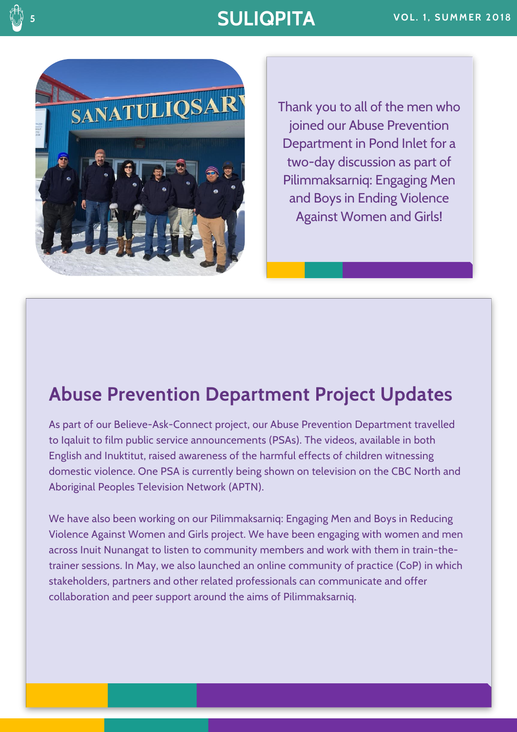## **SULIQPITA VOL. 1, SUMMER 2018**



Thank you to all of the men who joined our Abuse Prevention Department in Pond Inlet for a two-day discussion as part of Pilimmaksarniq: Engaging Men and Boys in Ending Violence Against Women and Girls!

# **Abuse Prevention Department Project Updates**

As part of our Believe-Ask-Connect project, our Abuse Prevention Department travelled to Iqaluit to film public service announcements (PSAs). The videos, available in both English and Inuktitut, raised awareness of the harmful effects of children witnessing domestic violence. One PSA is currently being shown on television on the CBC North and Aboriginal Peoples Television Network (APTN).

We have also been working on our Pilimmaksarniq: Engaging Men and Boys in Reducing Violence Against Women and Girls project. We have been engaging with women and men across Inuit Nunangat to listen to community members and work with them in train-thetrainer sessions. In May, we also launched an online community of practice (CoP) in which stakeholders, partners and other related professionals can communicate and offer collaboration and peer support around the aims of Pilimmaksarniq.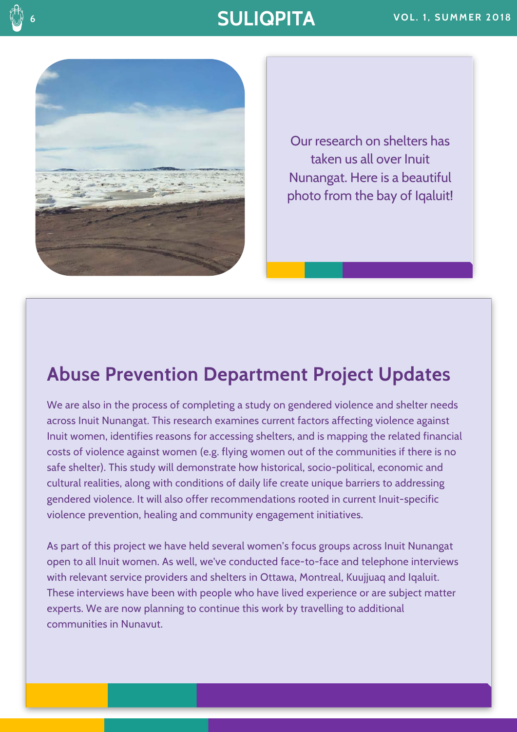

Our research on shelters has taken us all over Inuit Nunangat. Here is a beautiful photo from the bay of Iqaluit!

#### **Abuse Prevention Department Project Updates**

We are also in the process of completing a study on gendered violence and shelter needs across Inuit Nunangat. This research examines current factors affecting violence against Inuit women, identifies reasons for accessing shelters, and is mapping the related financial costs of violence against women (e.g. flying women out of the communities if there is no safe shelter). This study will demonstrate how historical, socio-political, economic and cultural realities, along with conditions of daily life create unique barriers to addressing gendered violence. It will also offer recommendations rooted in current Inuit-specific violence prevention, healing and community engagement initiatives.

As part of this project we have held several women's focus groups across Inuit Nunangat open to all Inuit women. As well, we've conducted face-to-face and telephone interviews with relevant service providers and shelters in Ottawa, Montreal, Kuujjuaq and Iqaluit. These interviews have been with people who have lived experience or are subject matter experts. We are now planning to continue this work by travelling to additional communities in Nunavut.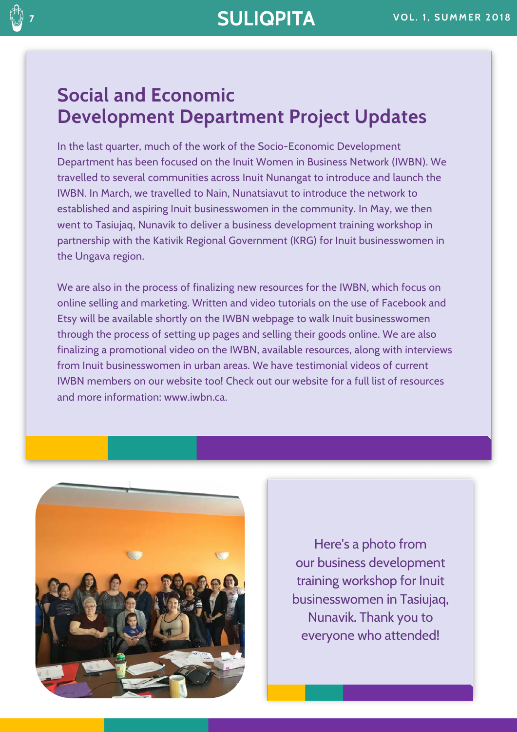## **Social and Economic Development Department Project Updates**

In the last quarter, much of the work of the Socio-Economic Development Department has been focused on the Inuit Women in Business Network (IWBN). We travelled to several communities across Inuit Nunangat to introduce and launch the IWBN. In March, we travelled to Nain, Nunatsiavut to introduce the network to established and aspiring Inuit businesswomen in the community. In May, we then went to Tasiujaq, Nunavik to deliver a business development training workshop in partnership with the Kativik Regional Government (KRG) for Inuit businesswomen in the Ungava region.

We are also in the process of finalizing new resources for the IWBN, which focus on online selling and marketing. Written and video tutorials on the use of Facebook and Etsy will be available shortly on the IWBN webpage to walk Inuit businesswomen through the process of setting up pages and selling their goods online. We are also finalizing a promotional video on the IWBN, available resources, along with interviews from Inuit businesswomen in urban areas. We have testimonial videos of current IWBN members on our website too! Check out our website for a full list of resources and more information: www.iwbn.ca.



Here's a photo from our business development training workshop for Inuit businesswomen in Tasiujaq, Nunavik. Thank you to everyone who attended!